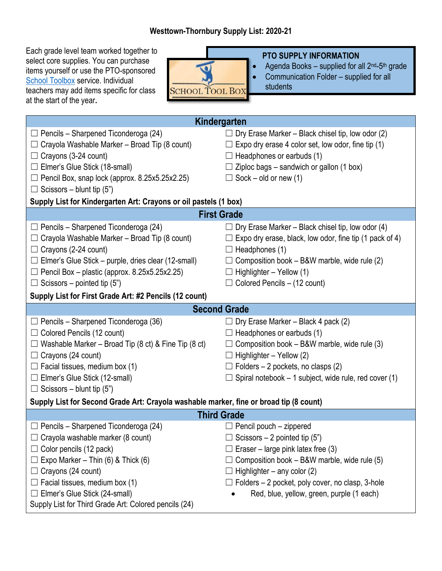## **Westtown-Thornbury Supply List: 2020-21**

Each grade level team worked together to select core supplies. You can purchase items yourself or use the PTO-sponsored [School Toolbox](https://schooltoolbox.com/school-supplies/) service. Individual teachers may add items specific for class at the start of the year**.**



## **PTO SUPPLY INFORMATION**

- Agenda Books supplied for all  $2^{nd}$ -5<sup>th</sup> grade
- Communication Folder supplied for all students

| Kindergarten                                                                           |                                                              |  |
|----------------------------------------------------------------------------------------|--------------------------------------------------------------|--|
| Pencils - Sharpened Ticonderoga (24)<br>⊔                                              | Dry Erase Marker – Black chisel tip, low odor (2)            |  |
| Crayola Washable Marker - Broad Tip (8 count)<br>Ш                                     | Expo dry erase 4 color set, low odor, fine tip (1)           |  |
| Crayons (3-24 count)<br>$\Box$                                                         | Headphones or earbuds (1)                                    |  |
| $\Box$ Elmer's Glue Stick (18-small)                                                   | Ziploc bags - sandwich or gallon (1 box)                     |  |
| $\Box$ Pencil Box, snap lock (approx. 8.25x5.25x2.25)                                  | $\Box$ Sock – old or new (1)                                 |  |
| $\Box$ Scissors – blunt tip (5")                                                       |                                                              |  |
| Supply List for Kindergarten Art: Crayons or oil pastels (1 box)                       |                                                              |  |
| <b>First Grade</b>                                                                     |                                                              |  |
| $\Box$ Pencils – Sharpened Ticonderoga (24)                                            | Dry Erase Marker – Black chisel tip, low odor (4)            |  |
| Crayola Washable Marker - Broad Tip (8 count)<br>$\Box$                                | Expo dry erase, black, low odor, fine tip (1 pack of 4)      |  |
| Crayons (2-24 count)<br>$\Box$                                                         | $\Box$ Headphones (1)                                        |  |
| $\Box$ Elmer's Glue Stick – purple, dries clear (12-small)                             | Composition book - B&W marble, wide rule (2)                 |  |
| $\Box$ Pencil Box – plastic (approx. 8.25x5.25x2.25)                                   | Highlighter - Yellow (1)                                     |  |
| $\Box$ Scissors – pointed tip (5")                                                     | $\Box$ Colored Pencils – (12 count)                          |  |
| Supply List for First Grade Art: #2 Pencils (12 count)                                 |                                                              |  |
| <b>Second Grade</b>                                                                    |                                                              |  |
| $\Box$ Pencils – Sharpened Ticonderoga (36)                                            | Dry Erase Marker - Black 4 pack (2)                          |  |
| Colored Pencils (12 count)<br>⊔                                                        | $\Box$ Headphones or earbuds (1)                             |  |
| Washable Marker - Broad Tip (8 ct) & Fine Tip (8 ct)<br>$\Box$                         | $\Box$ Composition book – B&W marble, wide rule (3)          |  |
| $\Box$ Crayons (24 count)                                                              | $\Box$ Highlighter – Yellow (2)                              |  |
| $\Box$ Facial tissues, medium box (1)                                                  | $\Box$ Folders – 2 pockets, no clasps (2)                    |  |
| □ Elmer's Glue Stick (12-small)                                                        | $\Box$ Spiral notebook – 1 subject, wide rule, red cover (1) |  |
| $\Box$ Scissors – blunt tip (5")                                                       |                                                              |  |
| Supply List for Second Grade Art: Crayola washable marker, fine or broad tip (8 count) |                                                              |  |
| <b>Third Grade</b>                                                                     |                                                              |  |
| Pencils - Sharpened Ticonderoga (24)<br>ப                                              | $\Box$ Pencil pouch – zippered                               |  |
| $\Box$ Crayola washable marker (8 count)                                               | $\Box$ Scissors – 2 pointed tip (5")                         |  |
| Color pencils (12 pack)<br>$\Box$                                                      | Eraser – large pink latex free $(3)$                         |  |
| Expo Marker - Thin $(6)$ & Thick $(6)$                                                 | Composition book – B&W marble, wide rule (5)                 |  |
| Crayons (24 count)<br>$\Box$                                                           | Highlighter $-$ any color (2)                                |  |
| Facial tissues, medium box (1)<br>Ш                                                    | $\Box$ Folders – 2 pocket, poly cover, no clasp, 3-hole      |  |
| Elmer's Glue Stick (24-small)<br>Ш                                                     | Red, blue, yellow, green, purple (1 each)                    |  |
| Supply List for Third Grade Art: Colored pencils (24)                                  |                                                              |  |